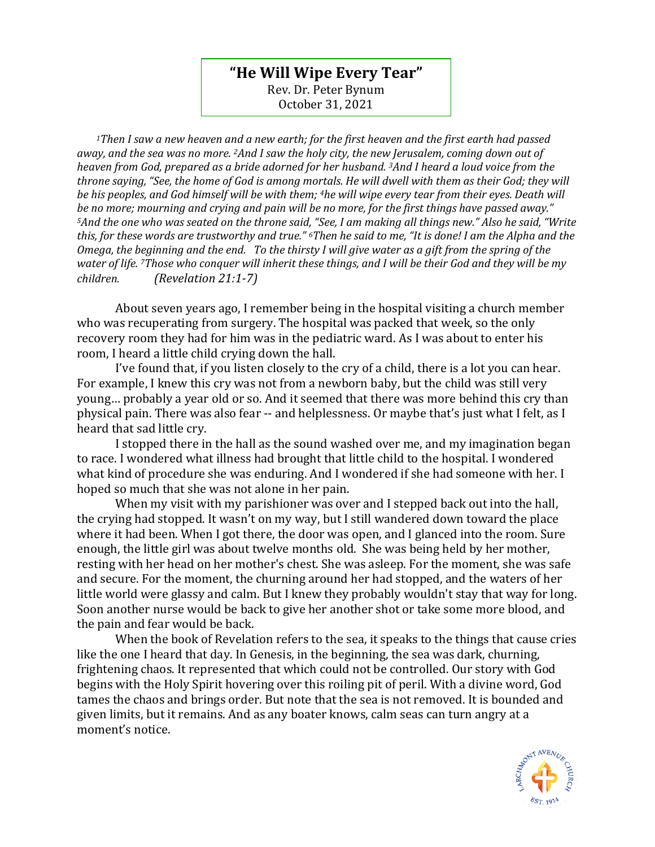## **"He Will Wipe Every Tear"**

Rev. Dr. Peter Bynum October 31, 2021

*<sup>1</sup>Then I saw a new heaven and a new earth; for the first heaven and the first earth had passed away, and the sea was no more. 2And I saw the holy city, the new Jerusalem, coming down out of heaven from God, prepared as a bride adorned for her husband. 3And I heard a loud voice from the throne saying, "See, the home of God is among mortals. He will dwell with them as their God; they will be his peoples, and God himself will be with them; 4he will wipe every tear from their eyes. Death will be no more; mourning and crying and pain will be no more, for the first things have passed away." <sup>5</sup>And the one who was seated on the throne said, "See, I am making all things new." Also he said, "Write this, for these words are trustworthy and true." 6Then he said to me, "It is done! I am the Alpha and the Omega, the beginning and the end. To the thirsty I will give water as a gift from the spring of the water of life. <sup>7</sup>Those who conquer will inherit these things, and I will be their God and they will be my children. (Revelation 21:1-7)*

About seven years ago, I remember being in the hospital visiting a church member who was recuperating from surgery. The hospital was packed that week, so the only recovery room they had for him was in the pediatric ward. As I was about to enter his room, I heard a little child crying down the hall.

I've found that, if you listen closely to the cry of a child, there is a lot you can hear. For example, I knew this cry was not from a newborn baby, but the child was still very young… probably a year old or so. And it seemed that there was more behind this cry than physical pain. There was also fear -- and helplessness. Or maybe that's just what I felt, as I heard that sad little cry.

I stopped there in the hall as the sound washed over me, and my imagination began to race. I wondered what illness had brought that little child to the hospital. I wondered what kind of procedure she was enduring. And I wondered if she had someone with her. I hoped so much that she was not alone in her pain.

When my visit with my parishioner was over and I stepped back out into the hall, the crying had stopped. It wasn't on my way, but I still wandered down toward the place where it had been. When I got there, the door was open, and I glanced into the room. Sure enough, the little girl was about twelve months old. She was being held by her mother, resting with her head on her mother's chest. She was asleep. For the moment, she was safe and secure. For the moment, the churning around her had stopped, and the waters of her little world were glassy and calm. But I knew they probably wouldn't stay that way for long. Soon another nurse would be back to give her another shot or take some more blood, and the pain and fear would be back.

When the book of Revelation refers to the sea, it speaks to the things that cause cries like the one I heard that day. In Genesis, in the beginning, the sea was dark, churning, frightening chaos. It represented that which could not be controlled. Our story with God begins with the Holy Spirit hovering over this roiling pit of peril. With a divine word, God tames the chaos and brings order. But note that the sea is not removed. It is bounded and given limits, but it remains. And as any boater knows, calm seas can turn angry at a moment's notice.

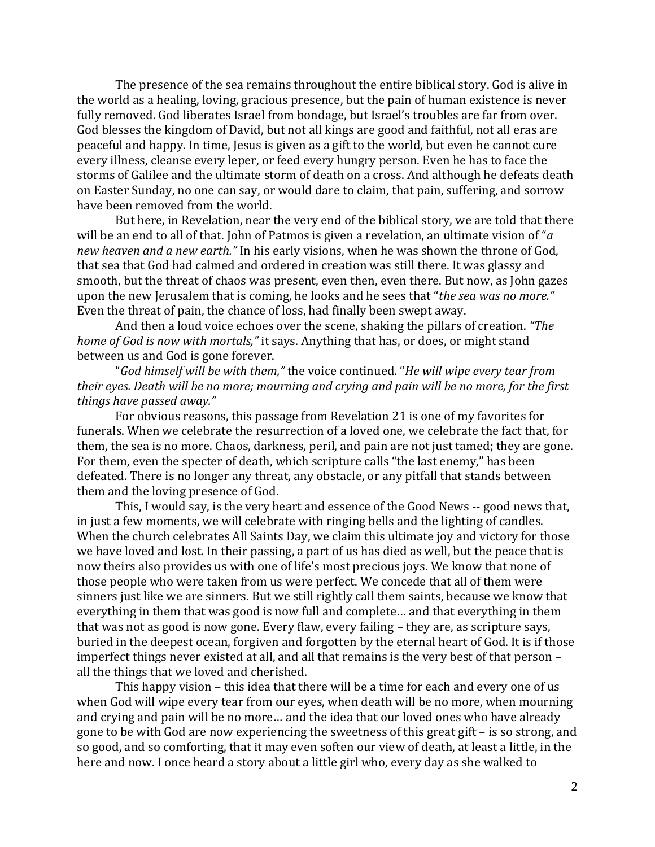The presence of the sea remains throughout the entire biblical story. God is alive in the world as a healing, loving, gracious presence, but the pain of human existence is never fully removed. God liberates Israel from bondage, but Israel's troubles are far from over. God blesses the kingdom of David, but not all kings are good and faithful, not all eras are peaceful and happy. In time, Jesus is given as a gift to the world, but even he cannot cure every illness, cleanse every leper, or feed every hungry person. Even he has to face the storms of Galilee and the ultimate storm of death on a cross. And although he defeats death on Easter Sunday, no one can say, or would dare to claim, that pain, suffering, and sorrow have been removed from the world.

But here, in Revelation, near the very end of the biblical story, we are told that there will be an end to all of that. John of Patmos is given a revelation, an ultimate vision of "*a new heaven and a new earth."* In his early visions, when he was shown the throne of God, that sea that God had calmed and ordered in creation was still there. It was glassy and smooth, but the threat of chaos was present, even then, even there. But now, as John gazes upon the new Jerusalem that is coming, he looks and he sees that "*the sea was no more."*  Even the threat of pain, the chance of loss, had finally been swept away.

And then a loud voice echoes over the scene, shaking the pillars of creation. *"The home of God is now with mortals,"* it says. Anything that has, or does, or might stand between us and God is gone forever.

"*God himself will be with them,"* the voice continued. "*He will wipe every tear from their eyes. Death will be no more; mourning and crying and pain will be no more, for the first things have passed away."*

For obvious reasons, this passage from Revelation 21 is one of my favorites for funerals. When we celebrate the resurrection of a loved one, we celebrate the fact that, for them, the sea is no more. Chaos, darkness, peril, and pain are not just tamed; they are gone. For them, even the specter of death, which scripture calls "the last enemy," has been defeated. There is no longer any threat, any obstacle, or any pitfall that stands between them and the loving presence of God.

This, I would say, is the very heart and essence of the Good News -- good news that, in just a few moments, we will celebrate with ringing bells and the lighting of candles. When the church celebrates All Saints Day, we claim this ultimate joy and victory for those we have loved and lost. In their passing, a part of us has died as well, but the peace that is now theirs also provides us with one of life's most precious joys. We know that none of those people who were taken from us were perfect. We concede that all of them were sinners just like we are sinners. But we still rightly call them saints, because we know that everything in them that was good is now full and complete… and that everything in them that was not as good is now gone. Every flaw, every failing – they are, as scripture says, buried in the deepest ocean, forgiven and forgotten by the eternal heart of God. It is if those imperfect things never existed at all, and all that remains is the very best of that person – all the things that we loved and cherished.

This happy vision – this idea that there will be a time for each and every one of us when God will wipe every tear from our eyes, when death will be no more, when mourning and crying and pain will be no more… and the idea that our loved ones who have already gone to be with God are now experiencing the sweetness of this great gift – is so strong, and so good, and so comforting, that it may even soften our view of death, at least a little, in the here and now. I once heard a story about a little girl who, every day as she walked to